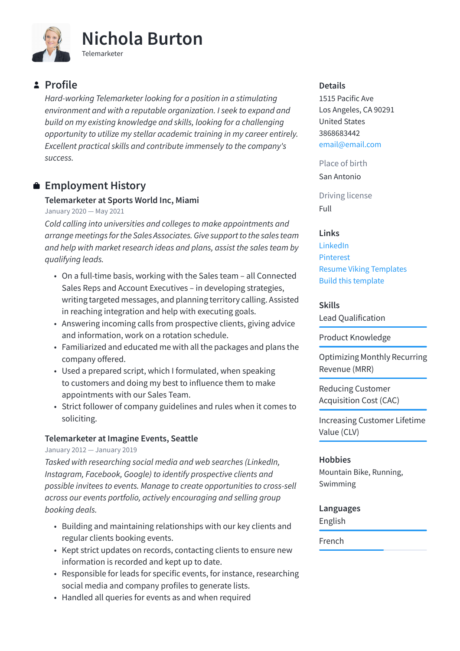

# **Profile**

*Hard-working Telemarketer looking for a position in a stimulating environment and with a reputable organization. I seek to expand and build on my existing knowledge and skills, looking for a challenging opportunity to utilize my stellar academic training in my career entirely. Excellent practical skills and contribute immensely to the company's success.*

## **Employment History**

### **Telemarketer at Sports World Inc, Miami**

January 2020 — May 2021

*Cold calling into universities and colleges to make appointments and arrange meetings for the Sales Associates. Give support to the sales team and help with market research ideas and plans, assist the sales team by qualifying leads.*

- On a full-time basis, working with the Sales team all Connected Sales Reps and Account Executives – in developing strategies, writing targeted messages, and planning territory calling. Assisted in reaching integration and help with executing goals.
- Answering incoming calls from prospective clients, giving advice and information, work on a rotation schedule.
- Familiarized and educated me with all the packages and plans the company offered.
- Used a prepared script, which I formulated, when speaking to customers and doing my best to influence them to make appointments with our Sales Team.
- Strict follower of company guidelines and rules when it comes to soliciting.

## **Telemarketer at Imagine Events, Seattle**

#### January 2012 — January 2019

*Tasked with researching social media and web searches (LinkedIn, Instagram, Facebook, Google) to identify prospective clients and possible invitees to events. Manage to create opportunities to cross-sell across our events portfolio, actively encouraging and selling group booking deals.*

- Building and maintaining relationships with our key clients and regular clients booking events.
- Kept strict updates on records, contacting clients to ensure new information is recorded and kept up to date.
- Responsible for leads for specific events, for instance, researching social media and company profiles to generate lists.
- Handled all queries for events as and when required

#### **Details**

1515 Pacific Ave Los Angeles, CA 90291 United States 3868683442 [email@email.com](mailto:email@email.com)

Place of birth

San Antonio

Driving license Full

## **Links**

[LinkedIn](https://www.linkedin.com/) [Pinterest](https://www.pinterest.es/resumeviking/) [Resume Viking Templates](https://www.resumeviking.com/templates/word/) [Build this template](https://resume.io/?id=cpdokyF1)

### **Skills**

Lead Qualification

Product Knowledge

Optimizing Monthly Recurring Revenue (MRR)

Reducing Customer Acquisition Cost (CAC)

Increasing Customer Lifetime Value (CLV)

## **Hobbies**

Mountain Bike, Running, Swimming

#### **Languages**

English

French